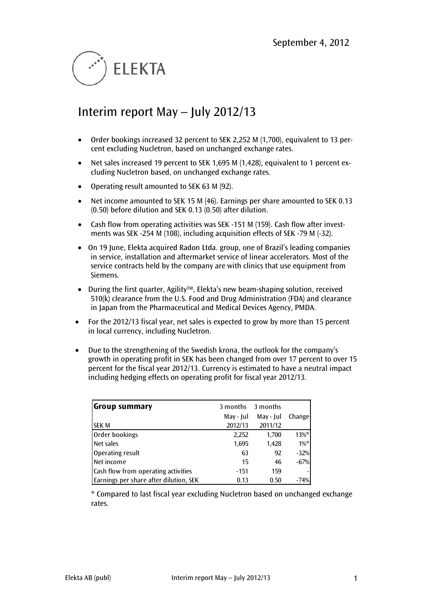

# Interim report May – July 2012/13

- Order bookings increased 32 percent to SEK 2,252 M (1,700), equivalent to 13 percent excluding Nucletron, based on unchanged exchange rates.
- Net sales increased 19 percent to SEK 1,695 M (1,428), equivalent to 1 percent excluding Nucletron based, on unchanged exchange rates.
- Operating result amounted to SEK 63 M (92).
- Net income amounted to SEK 15 M (46). Earnings per share amounted to SEK 0.13 (0.50) before dilution and SEK 0.13 (0.50) after dilution.
- Cash flow from operating activities was SEK -151 M (159). Cash flow after investments was SEK -254 M (108), including acquisition effects of SEK -79 M (-32).
- On 19 June, Elekta acquired Radon Ltda. group, one of Brazil's leading companies in service, installation and aftermarket service of linear accelerators. Most of the service contracts held by the company are with clinics that use equipment from Siemens.
- During the first quarter, Agility<sup>TM</sup>, Elekta's new beam-shaping solution, received 510(k) clearance from the U.S. Food and Drug Administration (FDA) and clearance in Japan from the Pharmaceutical and Medical Devices Agency, PMDA.
- For the 2012/13 fiscal year, net sales is expected to grow by more than 15 percent in local currency, including Nucletron.
- Due to the strengthening of the Swedish krona, the outlook for the company's growth in operating profit in SEK has been changed from over 17 percent to over 15 percent for the fiscal year 2012/13. Currency is estimated to have a neutral impact including hedging effects on operating profit for fiscal year 2012/13.

| Group summary                          | 3 months  | 3 months  |          |
|----------------------------------------|-----------|-----------|----------|
|                                        | May - Jul | May - Jul | Changel  |
| lsek m                                 | 2012/13   | 2011/12   |          |
| Order bookings                         | 2,252     | 1,700     | $13\%$ * |
| Net sales                              | 1,695     | 1,428     | $1\%$ *  |
| Operating result                       | 63        | 92        | $-32%$   |
| Net income                             | 15        | 46        | $-67%$   |
| Cash flow from operating activities    | -151      | 159       |          |
| Earnings per share after dilution, SEK | 0.13      | 0.50      | $-74%$   |

\* Compared to last fiscal year excluding Nucletron based on unchanged exchange rates.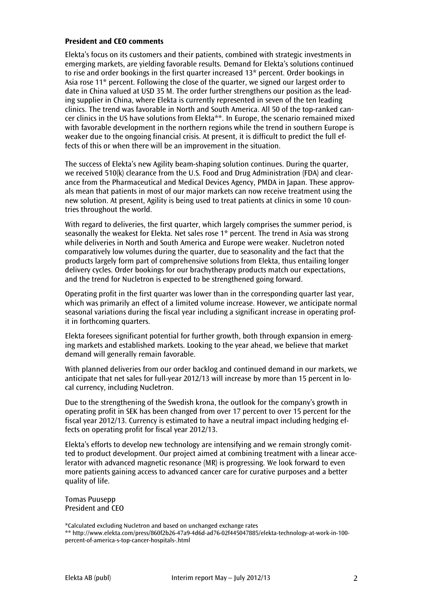#### **President and CEO comments**

Elekta's focus on its customers and their patients, combined with strategic investments in emerging markets, are yielding favorable results. Demand for Elekta's solutions continued to rise and order bookings in the first quarter increased 13\* percent. Order bookings in Asia rose 11\* percent. Following the close of the quarter, we signed our largest order to date in China valued at USD 35 M. The order further strengthens our position as the leading supplier in China, where Elekta is currently represented in seven of the ten leading clinics. The trend was favorable in North and South America. All 50 of the top-ranked cancer clinics in the US have solutions from Elekta\*\*. In Europe, the scenario remained mixed with favorable development in the northern regions while the trend in southern Europe is weaker due to the ongoing financial crisis. At present, it is difficult to predict the full effects of this or when there will be an improvement in the situation.

The success of Elekta's new Agility beam-shaping solution continues. During the quarter, we received 510(k) clearance from the U.S. Food and Drug Administration (FDA) and clearance from the Pharmaceutical and Medical Devices Agency, PMDA in Japan. These approvals mean that patients in most of our major markets can now receive treatment using the new solution. At present, Agility is being used to treat patients at clinics in some 10 countries throughout the world.

With regard to deliveries, the first quarter, which largely comprises the summer period, is seasonally the weakest for Elekta. Net sales rose 1\* percent. The trend in Asia was strong while deliveries in North and South America and Europe were weaker. Nucletron noted comparatively low volumes during the quarter, due to seasonality and the fact that the products largely form part of comprehensive solutions from Elekta, thus entailing longer delivery cycles. Order bookings for our brachytherapy products match our expectations, and the trend for Nucletron is expected to be strengthened going forward.

Operating profit in the first quarter was lower than in the corresponding quarter last year, which was primarily an effect of a limited volume increase. However, we anticipate normal seasonal variations during the fiscal year including a significant increase in operating profit in forthcoming quarters.

Elekta foresees significant potential for further growth, both through expansion in emerging markets and established markets. Looking to the year ahead, we believe that market demand will generally remain favorable.

With planned deliveries from our order backlog and continued demand in our markets, we anticipate that net sales for full-year 2012/13 will increase by more than 15 percent in local currency, including Nucletron.

Due to the strengthening of the Swedish krona, the outlook for the company's growth in operating profit in SEK has been changed from over 17 percent to over 15 percent for the fiscal year 2012/13. Currency is estimated to have a neutral impact including hedging effects on operating profit for fiscal year 2012/13.

Elekta's efforts to develop new technology are intensifying and we remain strongly comitted to product development. Our project aimed at combining treatment with a linear accelerator with advanced magnetic resonance (MR) is progressing. We look forward to even more patients gaining access to advanced cancer care for curative purposes and a better quality of life.

Tomas Puusepp President and CEO

\*Calculated excluding Nucletron and based on unchanged exchange rates

\*\* http://www.elekta.com/press/860f2b26-47a9-4d6d-ad76-02f445047885/elekta-technology-at-work-in-100 percent-of-america-s-top-cancer-hospitals-.html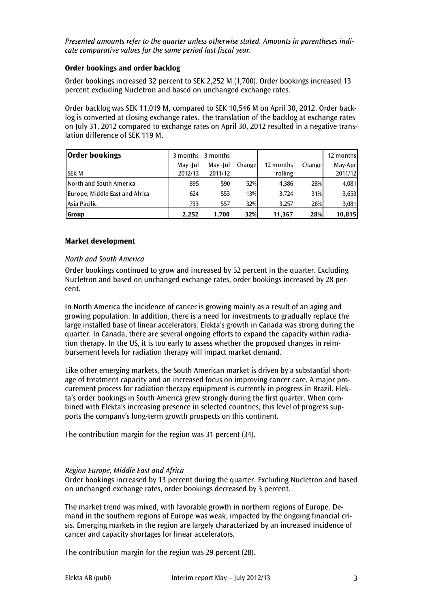#### *Presented amounts refer to the quarter unless otherwise stated. Amounts in parentheses indicate comparative values for the same period last fiscal year.*

## **Order bookings and order backlog**

Order bookings increased 32 percent to SEK 2,252 M (1,700). Order bookings increased 13 percent excluding Nucletron and based on unchanged exchange rates.

Order backlog was SEK 11,019 M, compared to SEK 10,546 M on April 30, 2012. Order backlog is converted at closing exchange rates. The translation of the backlog at exchange rates on July 31, 2012 compared to exchange rates on April 30, 2012 resulted in a negative translation difference of SEK 119 M.

| <b>Order bookings</b>          |         | 3 months 3 months |         |           |        | 12 months |
|--------------------------------|---------|-------------------|---------|-----------|--------|-----------|
|                                | May-Jul | May-Jul           | Changel | 12 months | Change | May-Apr   |
| ISEK M                         | 2012/13 | 2011/12           |         | rolling   |        | 2011/12   |
| North and South America        | 895     | 590               | 52%     | 4,386     | 28%    | 4,081     |
| Europe, Middle East and Africa | 624     | 553               | 13%     | 3.724     | 31%    | 3,653     |
| lAsia Pacific                  | 733     | 557               | 32%     | 3,257     | 26%    | 3,081     |
| <b>Group</b>                   | 2.252   | 1,700             | 32%     | 11,367    | 28%    | 10,815    |

#### **Market development**

#### *North and South America*

Order bookings continued to grow and increased by 52 percent in the quarter. Excluding Nucletron and based on unchanged exchange rates, order bookings increased by 28 percent.

In North America the incidence of cancer is growing mainly as a result of an aging and growing population. In addition, there is a need for investments to gradually replace the large installed base of linear accelerators. Elekta's growth in Canada was strong during the quarter. In Canada, there are several ongoing efforts to expand the capacity within radiation therapy. In the US, it is too early to assess whether the proposed changes in reimbursement levels for radiation therapy will impact market demand.

Like other emerging markets, the South American market is driven by a substantial shortage of treatment capacity and an increased focus on improving cancer care. A major procurement process for radiation therapy equipment is currently in progress in Brazil. Elekta's order bookings in South America grew strongly during the first quarter. When combined with Elekta's increasing presence in selected countries, this level of progress supports the company's long-term growth prospects on this continent.

The contribution margin for the region was 31 percent (34).

#### *Region Europe, Middle East and Africa*

Order bookings increased by 13 percent during the quarter. Excluding Nucletron and based on unchanged exchange rates, order bookings decreased by 3 percent.

The market trend was mixed, with favorable growth in northern regions of Europe. Demand in the southern regions of Europe was weak, impacted by the ongoing financial crisis. Emerging markets in the region are largely characterized by an increased incidence of cancer and capacity shortages for linear accelerators.

The contribution margin for the region was 29 percent (28).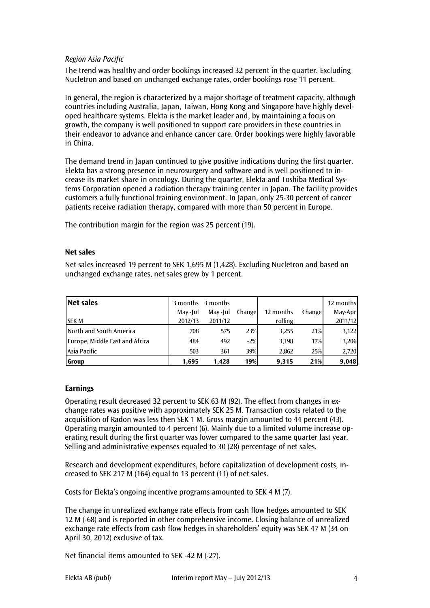#### *Region Asia Pacific*

The trend was healthy and order bookings increased 32 percent in the quarter. Excluding Nucletron and based on unchanged exchange rates, order bookings rose 11 percent.

In general, the region is characterized by a major shortage of treatment capacity, although countries including Australia, Japan, Taiwan, Hong Kong and Singapore have highly developed healthcare systems. Elekta is the market leader and, by maintaining a focus on growth, the company is well positioned to support care providers in these countries in their endeavor to advance and enhance cancer care. Order bookings were highly favorable in China.

The demand trend in Japan continued to give positive indications during the first quarter. Elekta has a strong presence in neurosurgery and software and is well positioned to increase its market share in oncology. During the quarter, Elekta and Toshiba Medical Systems Corporation opened a radiation therapy training center in Japan. The facility provides customers a fully functional training environment. In Japan, only 25-30 percent of cancer patients receive radiation therapy, compared with more than 50 percent in Europe.

The contribution margin for the region was 25 percent (19).

#### **Net sales**

Net sales increased 19 percent to SEK 1,695 M (1,428). Excluding Nucletron and based on unchanged exchange rates, net sales grew by 1 percent.

| <b>Net sales</b>               |         | 3 months 3 months |        |           |        | 12 months |
|--------------------------------|---------|-------------------|--------|-----------|--------|-----------|
|                                | May-Jul | May-Jul           | Change | 12 months | Change | May-Apr   |
| <b>SEK M</b>                   | 2012/13 | 2011/12           |        | rolling   |        | 2011/12   |
| North and South America        | 708     | 575               | 23%    | 3,255     | 21%    | 3,122     |
| Europe, Middle East and Africa | 484     | 492               | $-2%$  | 3,198     | 17%    | 3,206     |
| Asia Pacific                   | 503     | 361               | 39%    | 2,862     | 25%    | 2,720     |
| Group                          | 1,695   | 1.428             | 19%    | 9,315     | 21%    | 9,048     |

#### **Earnings**

Operating result decreased 32 percent to SEK 63 M (92). The effect from changes in exchange rates was positive with approximately SEK 25 M. Transaction costs related to the acquisition of Radon was less then SEK 1 M. Gross margin amounted to 44 percent (43). Operating margin amounted to 4 percent (6). Mainly due to a limited volume increase operating result during the first quarter was lower compared to the same quarter last year. Selling and administrative expenses equaled to 30 (28) percentage of net sales.

Research and development expenditures, before capitalization of development costs, increased to SEK 217 M (164) equal to 13 percent (11) of net sales.

Costs for Elekta's ongoing incentive programs amounted to SEK 4 M (7).

The change in unrealized exchange rate effects from cash flow hedges amounted to SEK 12 M (-68) and is reported in other comprehensive income. Closing balance of unrealized exchange rate effects from cash flow hedges in shareholders' equity was SEK 47 M (34 on April 30, 2012) exclusive of tax.

Net financial items amounted to SEK -42 M (-27).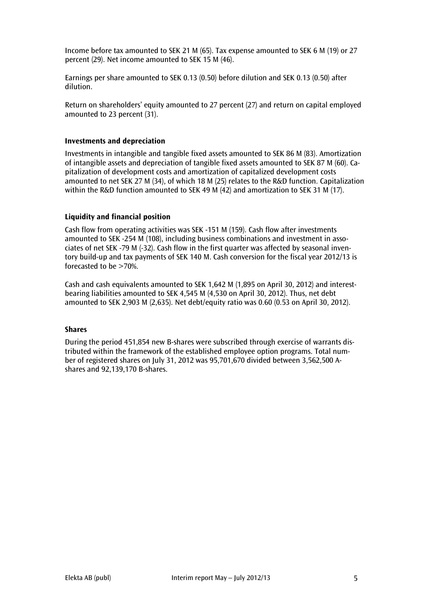Income before tax amounted to SEK 21 M (65). Tax expense amounted to SEK 6 M (19) or 27 percent (29). Net income amounted to SEK 15 M (46).

Earnings per share amounted to SEK 0.13 (0.50) before dilution and SEK 0.13 (0.50) after dilution.

Return on shareholders' equity amounted to 27 percent (27) and return on capital employed amounted to 23 percent (31).

#### **Investments and depreciation**

Investments in intangible and tangible fixed assets amounted to SEK 86 M (83). Amortization of intangible assets and depreciation of tangible fixed assets amounted to SEK 87 M (60). Capitalization of development costs and amortization of capitalized development costs amounted to net SEK 27 M (34), of which 18 M (25) relates to the R&D function. Capitalization within the R&D function amounted to SEK 49 M (42) and amortization to SEK 31 M (17).

#### **Liquidity and financial position**

Cash flow from operating activities was SEK -151 M (159). Cash flow after investments amounted to SEK -254 M (108), including business combinations and investment in associates of net SEK -79 M (-32). Cash flow in the first quarter was affected by seasonal inventory build-up and tax payments of SEK 140 M. Cash conversion for the fiscal year 2012/13 is forecasted to be >70%.

Cash and cash equivalents amounted to SEK 1,642 M (1,895 on April 30, 2012) and interestbearing liabilities amounted to SEK 4,545 M (4,530 on April 30, 2012). Thus, net debt amounted to SEK 2,903 M (2,635). Net debt/equity ratio was 0.60 (0.53 on April 30, 2012).

#### **Shares**

During the period 451,854 new B-shares were subscribed through exercise of warrants distributed within the framework of the established employee option programs. Total number of registered shares on July 31, 2012 was 95,701,670 divided between 3,562,500 Ashares and 92,139,170 B-shares.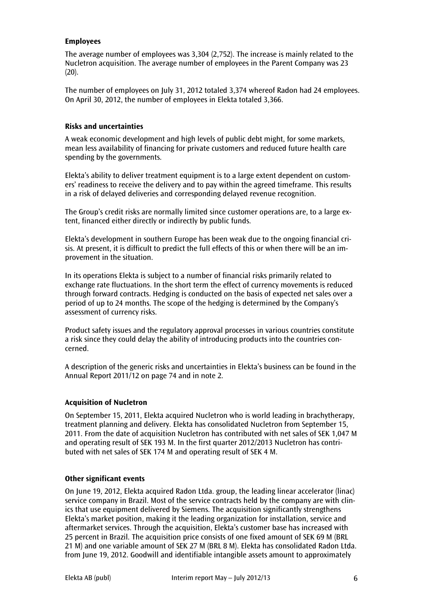#### **Employees**

The average number of employees was 3,304 (2,752). The increase is mainly related to the Nucletron acquisition. The average number of employees in the Parent Company was 23  $(20).$ 

The number of employees on July 31, 2012 totaled 3,374 whereof Radon had 24 employees. On April 30, 2012, the number of employees in Elekta totaled 3,366.

#### **Risks and uncertainties**

A weak economic development and high levels of public debt might, for some markets, mean less availability of financing for private customers and reduced future health care spending by the governments.

Elekta's ability to deliver treatment equipment is to a large extent dependent on customers' readiness to receive the delivery and to pay within the agreed timeframe. This results in a risk of delayed deliveries and corresponding delayed revenue recognition.

The Group's credit risks are normally limited since customer operations are, to a large extent, financed either directly or indirectly by public funds.

Elekta's development in southern Europe has been weak due to the ongoing financial crisis. At present, it is difficult to predict the full effects of this or when there will be an improvement in the situation.

In its operations Elekta is subject to a number of financial risks primarily related to exchange rate fluctuations. In the short term the effect of currency movements is reduced through forward contracts. Hedging is conducted on the basis of expected net sales over a period of up to 24 months. The scope of the hedging is determined by the Company's assessment of currency risks.

Product safety issues and the regulatory approval processes in various countries constitute a risk since they could delay the ability of introducing products into the countries concerned.

A description of the generic risks and uncertainties in Elekta's business can be found in the Annual Report 2011/12 on page 74 and in note 2.

## **Acquisition of Nucletron**

On September 15, 2011, Elekta acquired Nucletron who is world leading in brachytherapy, treatment planning and delivery. Elekta has consolidated Nucletron from September 15, 2011. From the date of acquisition Nucletron has contributed with net sales of SEK 1,047 M and operating result of SEK 193 M. In the first quarter 2012/2013 Nucletron has contributed with net sales of SEK 174 M and operating result of SEK 4 M.

#### **Other significant events**

On June 19, 2012, Elekta acquired Radon Ltda. group, the leading linear accelerator (linac) service company in Brazil. Most of the service contracts held by the company are with clinics that use equipment delivered by Siemens. The acquisition significantly strengthens Elekta's market position, making it the leading organization for installation, service and aftermarket services. Through the acquisition, Elekta's customer base has increased with 25 percent in Brazil. The acquisition price consists of one fixed amount of SEK 69 M (BRL 21 M) and one variable amount of SEK 27 M (BRL 8 M). Elekta has consolidated Radon Ltda. from June 19, 2012. Goodwill and identifiable intangible assets amount to approximately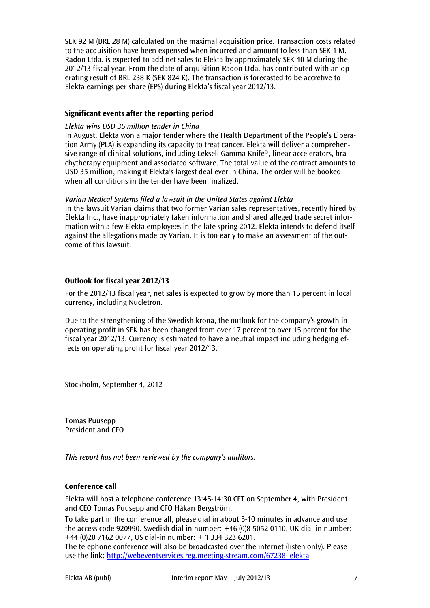SEK 92 M (BRL 28 M) calculated on the maximal acquisition price. Transaction costs related to the acquisition have been expensed when incurred and amount to less than SEK 1 M. Radon Ltda. is expected to add net sales to Elekta by approximately SEK 40 M during the 2012/13 fiscal year. From the date of acquisition Radon Ltda. has contributed with an operating result of BRL 238 K (SEK 824 K). The transaction is forecasted to be accretive to Elekta earnings per share (EPS) during Elekta's fiscal year 2012/13.

#### **Significant events after the reporting period**

#### *Elekta wins USD 35 million tender in China*

In August, Elekta won a major tender where the Health Department of the People's Liberation Army (PLA) is expanding its capacity to treat cancer. Elekta will deliver a comprehensive range of clinical solutions, including Leksell Gamma Knife®, linear accelerators, brachytherapy equipment and associated software. The total value of the contract amounts to USD 35 million, making it Elekta's largest deal ever in China. The order will be booked when all conditions in the tender have been finalized.

#### *Varian Medical Systems filed a lawsuit in the United States against Elekta*

In the lawsuit Varian claims that two former Varian sales representatives, recently hired by Elekta Inc., have inappropriately taken information and shared alleged trade secret information with a few Elekta employees in the late spring 2012. Elekta intends to defend itself against the allegations made by Varian. It is too early to make an assessment of the outcome of this lawsuit.

## **Outlook for fiscal year 2012/13**

For the 2012/13 fiscal year, net sales is expected to grow by more than 15 percent in local currency, including Nucletron.

Due to the strengthening of the Swedish krona, the outlook for the company's growth in operating profit in SEK has been changed from over 17 percent to over 15 percent for the fiscal year 2012/13. Currency is estimated to have a neutral impact including hedging effects on operating profit for fiscal year 2012/13.

Stockholm, September 4, 2012

Tomas Puusepp President and CEO

*This report has not been reviewed by the company's auditors.* 

## **Conference call**

Elekta will host a telephone conference 13:45-14:30 CET on September 4, with President and CEO Tomas Puusepp and CFO Håkan Bergström.

To take part in the conference all, please dial in about 5-10 minutes in advance and use the access code 920990. Swedish dial-in number: +46 (0)8 5052 0110, UK dial-in number: +44 (0)20 7162 0077, US dial-in number: + 1 334 323 6201.

The telephone conference will also be broadcasted over the internet (listen only). Please use the link: [http://webeventservices.reg.meeting-stream.com/67238\\_elekta](http://webeventservices.reg.meeting-stream.com/67238_elekta)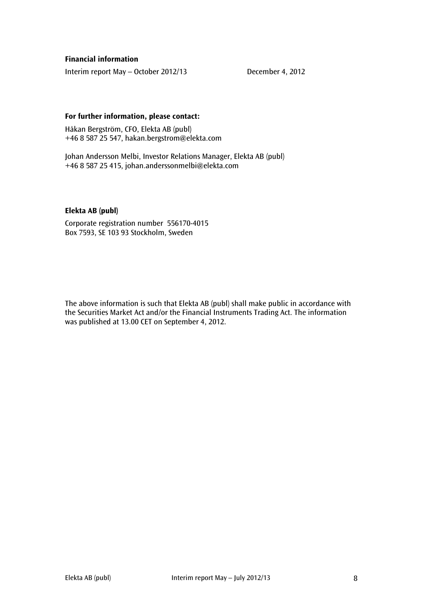#### **Financial information**

Interim report May – October 2012/13 December 4, 2012

#### **For further information, please contact:**

Håkan Bergström, CFO, Elekta AB (publ) +46 8 587 25 547, hakan.bergstrom@elekta.com

Johan Andersson Melbi, Investor Relations Manager, Elekta AB (publ) +46 8 587 25 415, [johan.anderssonmelbi@elekta.com](mailto:johan.anderssonmelbi@elekta.com)

#### **Elekta AB (publ)**

Corporate registration number 556170-4015 Box 7593, SE 103 93 Stockholm, Sweden

The above information is such that Elekta AB (publ) shall make public in accordance with the Securities Market Act and/or the Financial Instruments Trading Act. The information was published at 13.00 CET on September 4, 2012.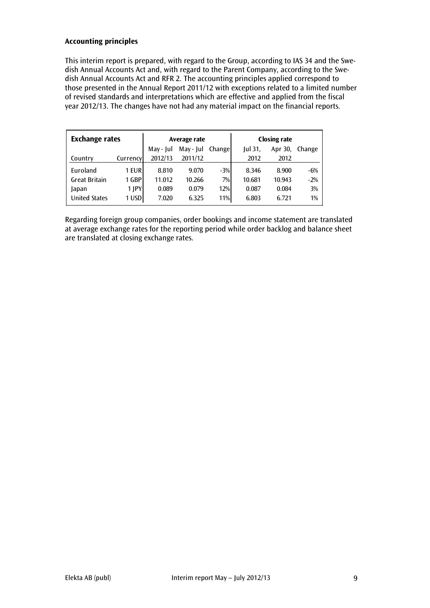## **Accounting principles**

This interim report is prepared, with regard to the Group, according to IAS 34 and the Swedish Annual Accounts Act and, with regard to the Parent Company, according to the Swedish Annual Accounts Act and RFR 2. The accounting principles applied correspond to those presented in the Annual Report 2011/12 with exceptions related to a limited number of revised standards and interpretations which are effective and applied from the fiscal year 2012/13. The changes have not had any material impact on the financial reports.

| <b>Exchange rates</b> |          |           | Average rate |        | <b>Closing rate</b> |         |        |  |
|-----------------------|----------|-----------|--------------|--------|---------------------|---------|--------|--|
|                       |          | May - Jul | May - Jul    | Change | $ ul$ 31,           | Apr 30, | Change |  |
| Country               | Currency | 2012/13   | 2011/12      |        | 2012                | 2012    |        |  |
| Euroland              | 1 EUR    | 8.810     | 9.070        | $-3%$  | 8.346               | 8.900   | $-6%$  |  |
| <b>Great Britain</b>  | 1 GBP    | 11.012    | 10.266       | 7%     | 10.681              | 10.943  | $-2%$  |  |
| Japan                 | 1 IPY    | 0.089     | 0.079        | 12%    | 0.087               | 0.084   | 3%     |  |
| <b>United States</b>  | 1 USD    | 7.020     | 6.325        | 11%    | 6.803               | 6.721   | $1\%$  |  |

Regarding foreign group companies, order bookings and income statement are translated at average exchange rates for the reporting period while order backlog and balance sheet are translated at closing exchange rates.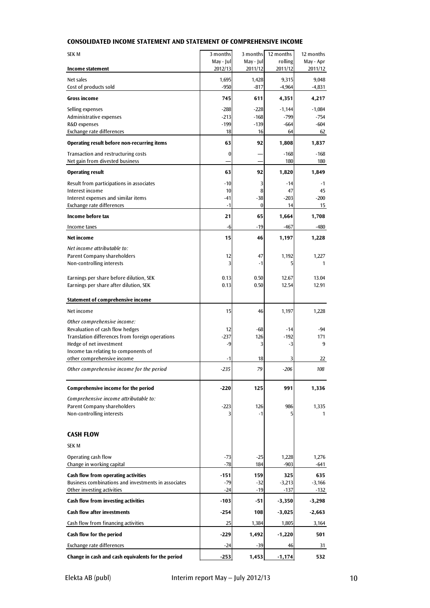| <b>SEK M</b>                                                                       | 3 months             | 3 months             | 12 months          | 12 months            |
|------------------------------------------------------------------------------------|----------------------|----------------------|--------------------|----------------------|
| Income statement                                                                   | May - Jul<br>2012/13 | May - Jul<br>2011/12 | rolling<br>2011/12 | May - Apr<br>2011/12 |
|                                                                                    |                      |                      |                    |                      |
| Net sales<br>Cost of products sold                                                 | 1,695<br>$-950$      | 1,428<br>$-817$      | 9,315<br>$-4,964$  | 9,048<br>$-4,831$    |
| <b>Gross income</b>                                                                | 745                  | 611                  | 4,351              | 4,217                |
| Selling expenses                                                                   | $-288$               | $-228$               | $-1,144$           | $-1,084$             |
| Administrative expenses                                                            | $-213$               | $-168$               | -799               | $-754$               |
| R&D expenses<br>Exchange rate differences                                          | $-199$               | $-139$<br>16         | -664<br>64         | $-604$               |
| Operating result before non-recurring items                                        | 18<br>63             | 92                   | 1,808              | 62<br>1,837          |
| Transaction and restructuring costs                                                | 0                    |                      | $-168$             | $-168$               |
| Net gain from divested business                                                    |                      |                      | 180                | 180                  |
| <b>Operating result</b>                                                            | 63                   | 92                   | 1,820              | 1,849                |
| Result from participations in associates                                           | $-10$                | 3                    | $-14$              | -1                   |
| Interest income<br>Interest expenses and similar items                             | 10                   | 8                    | 47                 | 45                   |
| Exchange rate differences                                                          | -41<br>$-1$          | $-38$<br>$\bf{0}$    | $-203$<br>14       | $-200$<br>15         |
| Income before tax                                                                  | 21                   | 65                   | 1,664              | 1,708                |
| Income taxes                                                                       | -6                   | $-19$                | -467               | -480                 |
| Net income                                                                         | 15                   | 46                   | 1,197              | 1,228                |
| Net income attributable to:                                                        |                      |                      |                    |                      |
| Parent Company shareholders                                                        | 12                   | 47                   | 1,192              | 1.227                |
| Non-controlling interests                                                          | 3                    | $-1$                 | 5                  | 1                    |
| Earnings per share before dilution, SEK                                            | 0.13                 | 0.50                 | 12.67              | 13.04                |
| Earnings per share after dilution, SEK                                             | 0.13                 | 0.50                 | 12.54              | 12.91                |
|                                                                                    |                      |                      |                    |                      |
| Statement of comprehensive income                                                  |                      |                      |                    |                      |
| Net income                                                                         | 15                   | 46                   | 1,197              | 1,228                |
| Other comprehensive income:                                                        |                      |                      |                    |                      |
| Revaluation of cash flow hedges<br>Translation differences from foreign operations | 12<br>-237           | -68<br>126           | $-14$<br>$-192$    | -94<br>171           |
| Hedge of net investment                                                            | -9                   | 3                    | -3                 | 9                    |
| Income tax relating to components of                                               |                      |                      |                    |                      |
| other comprehensive income                                                         | -1                   | 18                   | 3                  | 22                   |
| Other comprehensive income for the period                                          | -235                 | 79                   | $-206$             | 108                  |
| Comprehensive income for the period                                                | $-220$               | 125                  | 991                | 1,336                |
| Comprehensive income attributable to:                                              |                      |                      |                    |                      |
| Parent Company shareholders                                                        | $-223$               | 126                  | 986                | 1,335                |
| Non-controlling interests                                                          |                      | $-1$                 |                    | 1                    |
|                                                                                    |                      |                      |                    |                      |
| <b>CASH FLOW</b>                                                                   |                      |                      |                    |                      |
| <b>SEKM</b>                                                                        |                      |                      |                    |                      |
| Operating cash flow                                                                | -73                  | $-25$                | 1,228              | 1,276                |
| Change in working capital                                                          | $-78$                | 184                  | $-903$             | -641                 |
| Cash flow from operating activities                                                | $-151$               | 159                  | 325                | 635                  |
| Business combinations and investments in associates<br>Other investing activities  | -79<br>$-24$         | $-32$<br>$-19$       | $-3,213$<br>$-137$ | $-3,166$<br>$-132$   |
| Cash flow from investing activities                                                | $-103$               | $-51$                | $-3,350$           | $-3,298$             |
| <b>Cash flow after investments</b>                                                 | $-254$               | 108                  | $-3,025$           | $-2,663$             |
| Cash flow from financing activities                                                | 25                   | 1,384                | 1,805              | 3,164                |
| Cash flow for the period                                                           | $-229$               | 1,492                | -1,220             | 501                  |
| Exchange rate differences                                                          | $-24$                | $-39$                | 46                 | 31                   |
| Change in cash and cash equivalents for the period                                 | $-253$               | 1,453                | $-1,174$           | 532                  |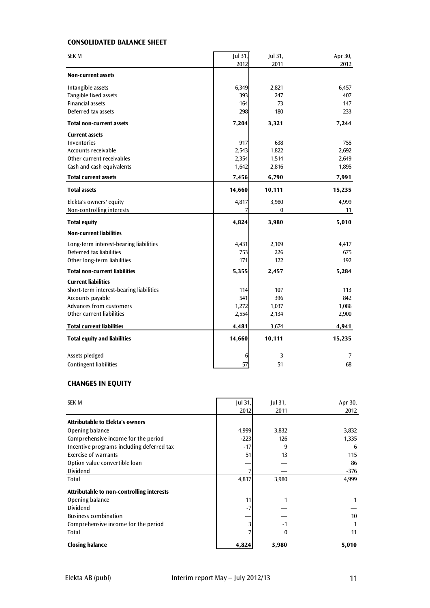## **CONSOLIDATED BALANCE SHEET**

| <b>SEK M</b>                            | Jul 31, | Jul 31, | Apr 30, |
|-----------------------------------------|---------|---------|---------|
|                                         | 2012    | 2011    | 2012    |
| <b>Non-current assets</b>               |         |         |         |
| Intangible assets                       | 6,349   | 2,821   | 6,457   |
| Tangible fixed assets                   | 393     | 247     | 407     |
| <b>Financial assets</b>                 | 164     | 73      | 147     |
| Deferred tax assets                     | 298     | 180     | 233     |
| <b>Total non-current assets</b>         | 7,204   | 3,321   | 7,244   |
| <b>Current assets</b>                   |         |         |         |
| <b>Inventories</b>                      | 917     | 638     | 755     |
| Accounts receivable                     | 2,543   | 1,822   | 2,692   |
| Other current receivables               | 2,354   | 1,514   | 2,649   |
| Cash and cash equivalents               | 1,642   | 2,816   | 1,895   |
| <b>Total current assets</b>             | 7,456   | 6,790   | 7,991   |
| <b>Total assets</b>                     | 14,660  | 10,111  | 15,235  |
| Elekta's owners' equity                 | 4,817   | 3,980   | 4,999   |
| Non-controlling interests               |         | 0       | 11      |
| <b>Total equity</b>                     | 4,824   | 3,980   | 5,010   |
| <b>Non-current liabilities</b>          |         |         |         |
| Long-term interest-bearing liabilities  | 4,431   | 2,109   | 4,417   |
| Deferred tax liabilities                | 753     | 226     | 675     |
| Other long-term liabilities             | 171     | 122     | 192     |
| <b>Total non-current liabilities</b>    | 5,355   | 2,457   | 5,284   |
| <b>Current liabilities</b>              |         |         |         |
| Short-term interest-bearing liabilities | 114     | 107     | 113     |
| Accounts payable                        | 541     | 396     | 842     |
| Advances from customers                 | 1,272   | 1,037   | 1,086   |
| Other current liabilities               | 2,554   | 2,134   | 2,900   |
| <b>Total current liabilities</b>        | 4,481   | 3,674   | 4,941   |
| <b>Total equity and liabilities</b>     | 14,660  | 10,111  | 15,235  |
| Assets pledged                          | 6       | 3       | 7       |
| <b>Contingent liabilities</b>           | 57      | 51      | 68      |
|                                         |         |         |         |

# **CHANGES IN EQUITY**

| <b>SEK M</b>                              | $ ul$ 31, | Jul 31,      | Apr 30, |
|-------------------------------------------|-----------|--------------|---------|
|                                           | 2012      | 2011         | 2012    |
| <b>Attributable to Elekta's owners</b>    |           |              |         |
| Opening balance                           | 4,999     | 3,832        | 3,832   |
| Comprehensive income for the period       | $-223$    | 126          | 1,335   |
| Incentive programs including deferred tax | $-17$     | 9            | 6       |
| <b>Exercise of warrants</b>               | 51        | 13           | 115     |
| Option value convertible loan             |           |              | 86      |
| <b>Dividend</b>                           |           |              | -376    |
| Total                                     | 4,817     | 3,980        | 4,999   |
| Attributable to non-controlling interests |           |              |         |
| Opening balance                           | 11        |              |         |
| Dividend                                  | -7        |              |         |
| <b>Business combination</b>               |           |              | 10      |
| Comprehensive income for the period       |           | -1           |         |
| Total                                     |           | $\mathbf{0}$ | 11      |
| <b>Closing balance</b>                    | 4,824     | 3,980        | 5,010   |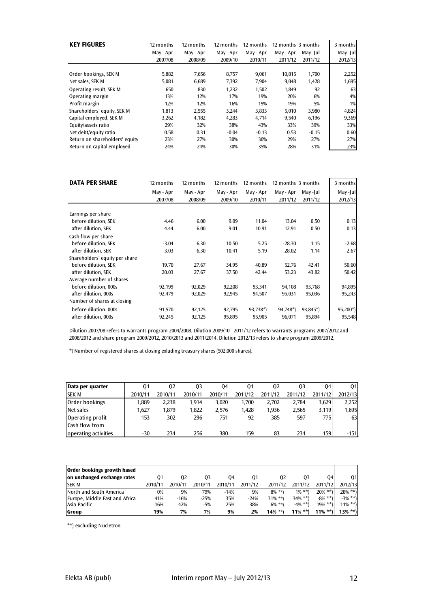| <b>KEY FIGURES</b>             | 12 months<br>May - Apr<br>2007/08 | 12 months<br>May - Apr<br>2008/09 | 12 months<br>May - Apr<br>2009/10 | 12 months<br>May - Apr<br>2010/11 | 12 months 3 months<br>May - Apr<br>2011/12 | Mav-Iul<br>2011/12 | 3 months<br>May-Jul<br>2012/13 |
|--------------------------------|-----------------------------------|-----------------------------------|-----------------------------------|-----------------------------------|--------------------------------------------|--------------------|--------------------------------|
| Order bookings, SEK M          | 5,882                             | 7,656                             | 8,757                             | 9,061                             | 10,815                                     | 1,700              | 2,252                          |
| Net sales, SEK M               | 5,081                             | 6,689                             | 7,392                             | 7,904                             | 9,048                                      | 1,428              | 1,695                          |
| Operating result, SEK M        | 650                               | 830                               | 1,232                             | 1,502                             | 1,849                                      | 92                 | 63                             |
| Operating margin               | 13%                               | 12%                               | 17%                               | 19%                               | 20%                                        | 6%                 | 4%                             |
| Profit margin                  | 12%                               | 12%                               | 16%                               | 19%                               | 19%                                        | 5%                 | 1%                             |
| Shareholders' equity, SEK M    | 1.813                             | 2,555                             | 3.244                             | 3,833                             | 5,010                                      | 3,980              | 4,824                          |
| Capital employed, SEK M        | 3,262                             | 4,182                             | 4,283                             | 4.714                             | 9,540                                      | 6.196              | 9,369                          |
| Equity/assets ratio            | 29%                               | 32%                               | 38%                               | 43%                               | 33%                                        | 39%                | 33%                            |
| Net debt/equity ratio          | 0.58                              | 0.31                              | $-0.04$                           | $-0.13$                           | 0.53                                       | $-0.15$            | 0.60                           |
| Return on shareholders' equity | 23%                               | 27%                               | 30%                               | 30%                               | 29%                                        | 27%                | 27%                            |
| Return on capital employed     | 24%                               | 24%                               | 30%                               | 35%                               | 28%                                        | 31%                | 23%                            |

| <b>DATA PER SHARE</b>          | 12 months | 12 months | 12 months | 12 months | 12 months 3 months |          | 3 months  |
|--------------------------------|-----------|-----------|-----------|-----------|--------------------|----------|-----------|
|                                | May - Apr | May - Apr | May - Apr | May - Apr | May - Apr          | May-Jul  | May -Jul  |
|                                | 2007/08   | 2008/09   | 2009/10   | 2010/11   | 2011/12            | 2011/12  | 2012/13   |
| Earnings per share             |           |           |           |           |                    |          |           |
| before dilution, SEK           | 4.46      | 6.00      | 9.09      | 11.04     | 13.04              | 0.50     | 0.13      |
| after dilution, SEK            | 4.44      | 6.00      | 9.01      | 10.91     | 12.91              | 0.50     | 0.13      |
| Cash flow per share            |           |           |           |           |                    |          |           |
| before dilution, SEK           | $-3.04$   | 6.30      | 10.50     | 5.25      | $-28.30$           | 1.15     | $-2.68$   |
| after dilution, SEK            | $-3.03$   | 6.30      | 10.41     | 5.19      | $-28.02$           | 1.14     | $-2.67$   |
| Shareholders' equity per share |           |           |           |           |                    |          |           |
| before dilution, SEK           | 19.70     | 27.67     | 34.95     | 40.89     | 52.76              | 42.41    | 50.60     |
| after dilution, SEK            | 20.03     | 27.67     | 37.50     | 42.44     | 53.23              | 43.82    | 50.42     |
| Average number of shares       |           |           |           |           |                    |          |           |
| before dilution, 000s          | 92,199    | 92,029    | 92,208    | 93,341    | 94,108             | 93,768   | 94,895    |
| after dilution, 000s           | 92,479    | 92,029    | 92,945    | 94,507    | 95,031             | 95,036   | 95,243    |
| Number of shares at closing    |           |           |           |           |                    |          |           |
| before dilution, 000s          | 91,570    | 92,125    | 92,795    | 93,738*)  | 94,748*)           | 93,845*) | $95,200*$ |
| after dilution, 000s           | 92,245    | 92,125    | 95,895    | 95,905    | 96,071             | 95,894   | 95,548    |

Dilution 2007/08 refers to warrants program 2004/2008. Dilution 2009/10 - 2011/12 refers to warrants programs 2007/2012 and 2008/2012 and share program 2009/2012, 2010/2013 and 2011/2014. Dilution 2012/13 refers to share program 2009/2012,

\*) Number of registered shares at closing exluding treasury shares (502,000 shares).

| Data per quarter      | 01      | 02      | 03      | 04      | 01      | 02      | 03      | 04      | 01      |
|-----------------------|---------|---------|---------|---------|---------|---------|---------|---------|---------|
| <b>SEK M</b>          | 2010/11 | 2010/11 | 2010/11 | 2010/11 | 2011/12 | 2011/12 | 2011/12 | 2011/12 | 2012/13 |
| Order bookings        | 1.889   | 2.238   | 1.914   | 3.020   | 1.700   | 2.702   | 2.784   | 3.629   | 2,252   |
| Net sales             | 1.627   | 1,879   | 1.822   | 2.576   | 1.428   | 1.936   | 2.565   | 3.119   | 1,695   |
| Operating profit      | 153     | 302     | 296     | 751     | 92      | 385     | 597     | 775     | 63      |
| <b>Cash flow from</b> |         |         |         |         |         |         |         |         |         |
| operating activities  | $-30$   | 234     | 256     | 380     | 159     | 83      | 234     | 159     | $-151$  |

| Order bookings growth based    |         |         |         |         |         |            |            |              |            |
|--------------------------------|---------|---------|---------|---------|---------|------------|------------|--------------|------------|
| on unchanged exchange rates    | 01      | 02      | 03      | 04      | 01      | 02         | 03         | 04           | 01         |
| <b>SEKM</b>                    | 2010/11 | 2010/11 | 2010/11 | 2010/11 | 2011/12 | 2011/12    | 2011/12    | 2011/12      | 2012/13    |
| North and South America        | 0%      | 9%      | 79%     | $-14%$  | 9%      | $8\%$ **)  | $1\% * *$  | $20\% * *$   | $28\%$ **) |
| Europe, Middle East and Africa | 41%     | $-16%$  | $-25%$  | 35%     | $-24%$  | $31\%$ **) | 34% **)    | $-8\% * *$ ) | $-3\%$ **) |
| Asia Pacific                   | 16%     | 42%     | $-5%$   | 25%     | 38%     | $6\%$ **)  | $-4\% *$   | $19\%$ **)   | $11\%$ **) |
| Group                          | 19%     | 7%      | 7%      | 9%      | 2%      | $14\%$ **) | $11\%$ **) | **\<br>11%   | $13\%$ **) |

\*\*) excluding Nucletron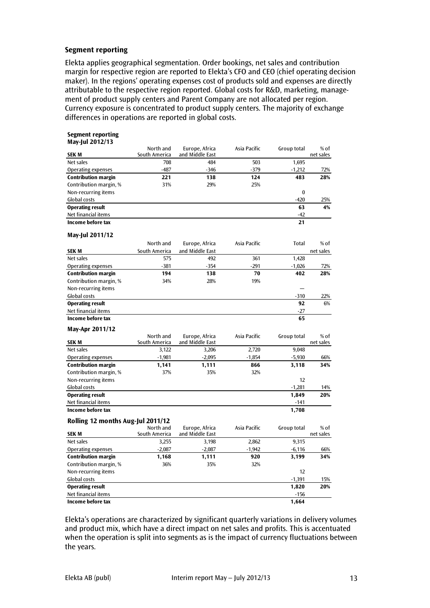#### **Segment reporting**

Elekta applies geographical segmentation. Order bookings, net sales and contribution margin for respective region are reported to Elekta's CFO and CEO (chief operating decision maker). In the regions' operating expenses cost of products sold and expenses are directly attributable to the respective region reported. Global costs for R&D, marketing, management of product supply centers and Parent Company are not allocated per region. Currency exposure is concentrated to product supply centers. The majority of exchange differences in operations are reported in global costs.

## **Segment reporting**

| May-Jul 2012/13                   |                            |                                   |              |              |                   |
|-----------------------------------|----------------------------|-----------------------------------|--------------|--------------|-------------------|
| <b>SEK M</b>                      | North and<br>South America | Europe, Africa<br>and Middle East | Asia Pacific | Group total  | % of<br>net sales |
| Net sales                         | 708                        | 484                               | 503          | 1,695        |                   |
| <b>Operating expenses</b>         | $-487$                     | $-346$                            | $-379$       | $-1,212$     | 72%               |
| <b>Contribution margin</b>        | 221                        | 138                               | 124          | 483          | 28%               |
| Contribution margin, %            | 31%                        | 29%                               | 25%          |              |                   |
| Non-recurring items               |                            |                                   |              | $\bf{0}$     |                   |
| Global costs                      |                            |                                   |              | $-420$       | 25%               |
| <b>Operating result</b>           |                            |                                   |              | 63           | 4%                |
| Net financial items               |                            |                                   |              | $-42$        |                   |
| Income before tax                 |                            |                                   |              | 21           |                   |
| May-Jul 2011/12                   |                            |                                   |              |              |                   |
|                                   | North and                  | Europe, Africa                    | Asia Pacific | <b>Total</b> | % of              |
| <b>SEKM</b>                       | South America              | and Middle East                   |              |              | net sales         |
| Net sales                         | 575                        | 492                               | 361          | 1,428        |                   |
| Operating expenses                | $-381$                     | $-354$                            | $-291$       | $-1,026$     | 72%               |
| <b>Contribution margin</b>        | 194                        | 138                               | 70           | 402          | 28%               |
| Contribution margin, %            | 34%                        | 28%                               | 19%          |              |                   |
| Non-recurring items               |                            |                                   |              |              |                   |
| Global costs                      |                            |                                   |              | $-310$       | 22%               |
| <b>Operating result</b>           |                            |                                   |              | 92           | 6%                |
| Net financial items               |                            |                                   |              | $-27$        |                   |
| <b>Income before tax</b>          |                            |                                   |              | 65           |                   |
| May-Apr 2011/12                   |                            |                                   |              |              |                   |
|                                   | North and                  | Europe, Africa                    | Asia Pacific | Group total  | % of              |
| <b>SEK M</b>                      | South America              | and Middle East                   |              |              | net sales         |
| Net sales                         | 3,122                      | 3,206                             | 2,720        | 9,048        |                   |
| Operating expenses                | $-1,981$                   | $-2,095$                          | $-1,854$     | $-5,930$     | 66%               |
| <b>Contribution margin</b>        | 1,141                      | 1,111                             | 866          | 3,118        | 34%               |
| Contribution margin, %            | 37%                        | 35%                               | 32%          |              |                   |
| Non-recurring items               |                            |                                   |              | 12           |                   |
| Global costs                      |                            |                                   |              | $-1,281$     | 14%               |
| <b>Operating result</b>           |                            |                                   |              | 1,849        | 20%               |
| Net financial items               |                            |                                   |              | $-141$       |                   |
| Income before tax                 |                            |                                   |              | 1,708        |                   |
| Rolling 12 months Aug-Jul 2011/12 |                            |                                   |              |              |                   |
| <b>SEKM</b>                       | North and<br>South America | Europe, Africa<br>and Middle East | Asia Pacific | Group total  | % of<br>net sales |
| Net sales                         | 3,255                      | 3,198                             | 2,862        | 9,315        |                   |
| <b>Operating expenses</b>         | $-2,087$                   | $-2,087$                          | $-1,942$     | $-6,116$     | 66%               |
| <b>Contribution margin</b>        | 1,168                      | 1,111                             | 920          | 3,199        | 34%               |
| Contribution margin, %            | 36%                        | 35%                               | 32%          |              |                   |
| Non-recurring items               |                            |                                   |              | 12           |                   |
| Global costs                      |                            |                                   |              | $-1,391$     | 15%               |
| <b>Operating result</b>           |                            |                                   |              | 1,820        | 20%               |
| Net financial items               |                            |                                   |              | $-156$       |                   |
| Income before tax                 |                            |                                   |              | 1,664        |                   |

Elekta's operations are characterized by significant quarterly variations in delivery volumes and product mix, which have a direct impact on net sales and profits. This is accentuated when the operation is split into segments as is the impact of currency fluctuations between the years.